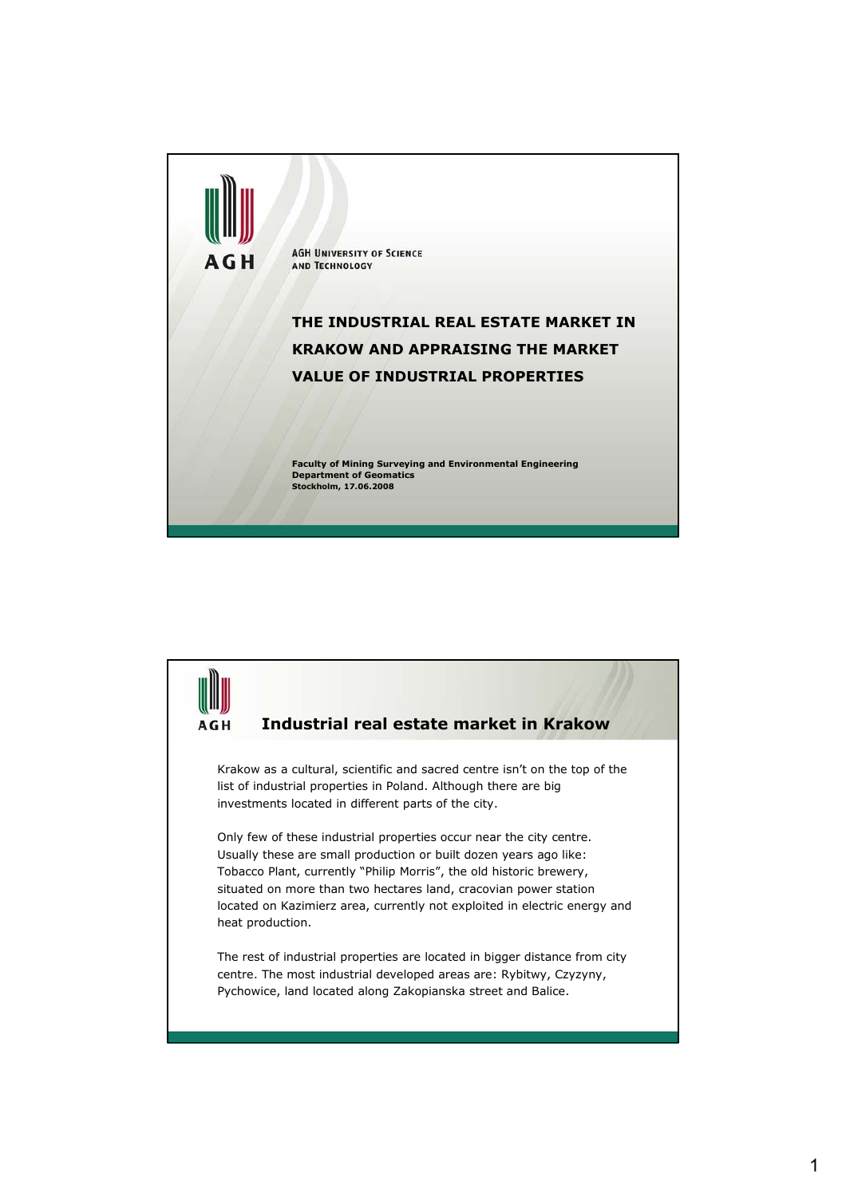

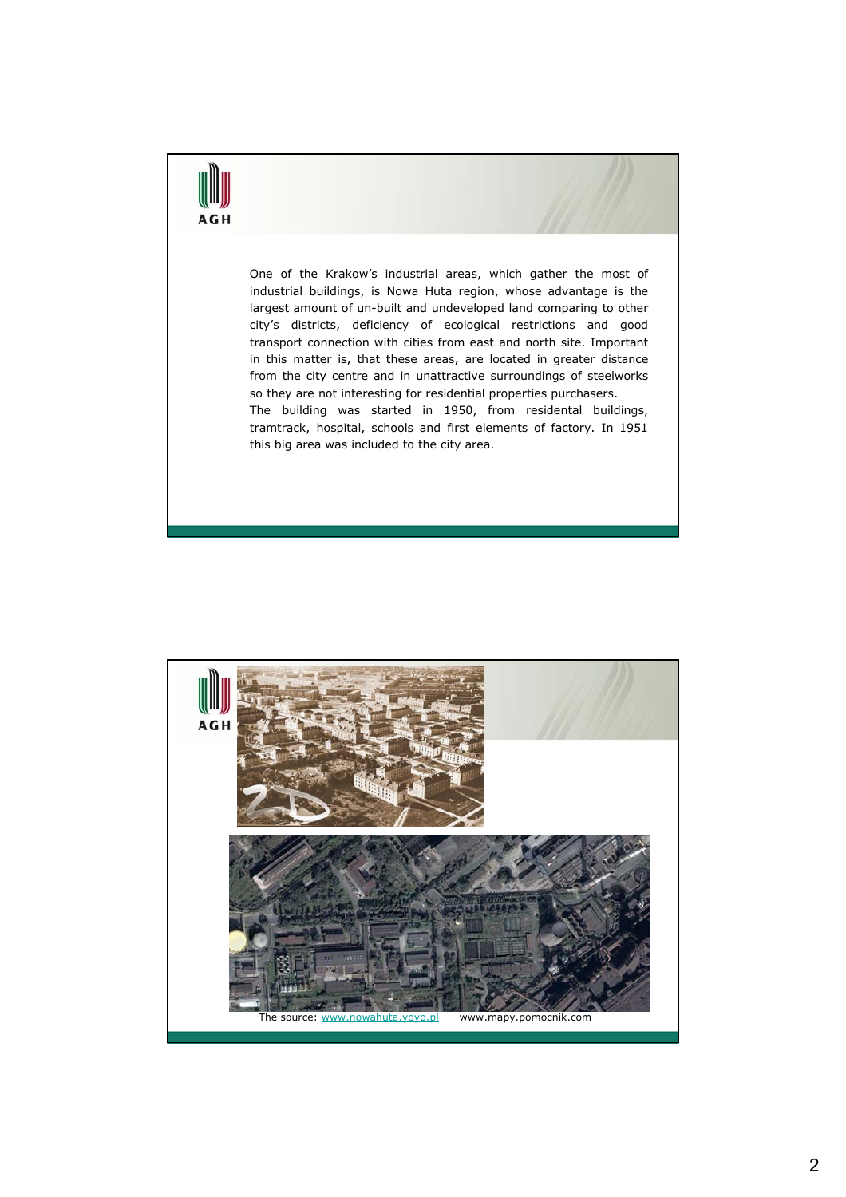## AGH

One of the Krakow's industrial areas, which gather the most of industrial buildings, is Nowa Huta region, whose advantage is the largest amount of un-built and undeveloped land comparing to other city's districts, deficiency of ecological restrictions and good transport connection with cities from east and north site. Important in this matter is, that these areas, are located in greater distance from the city centre and in unattractive surroundings of steelworks so they are not interesting for residential properties purchasers. The building was started in 1950, from residental buildings,

tramtrack, hospital, schools and first elements of factory. In 1951 this big area was included to the city area.

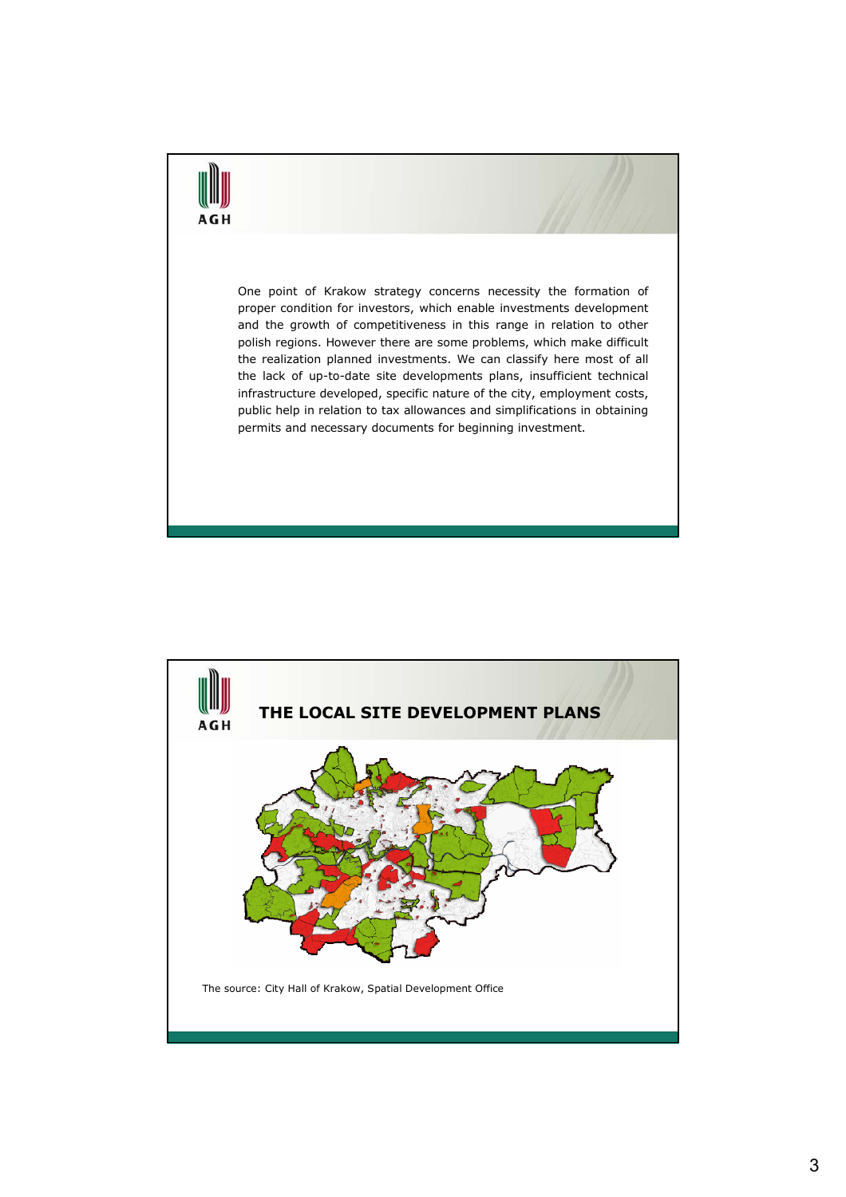# AGI

One point of Krakow strategy concerns necessity the formation of proper condition for investors, which enable investments development and the growth of competitiveness in this range in relation to other polish regions. However there are some problems, which make difficult the realization planned investments. We can classify here most of all the lack of up-to-date site developments plans, insufficient technical infrastructure developed, specific nature of the city, employment costs, public help in relation to tax allowances and simplifications in obtaining permits and necessary documents for beginning investment.

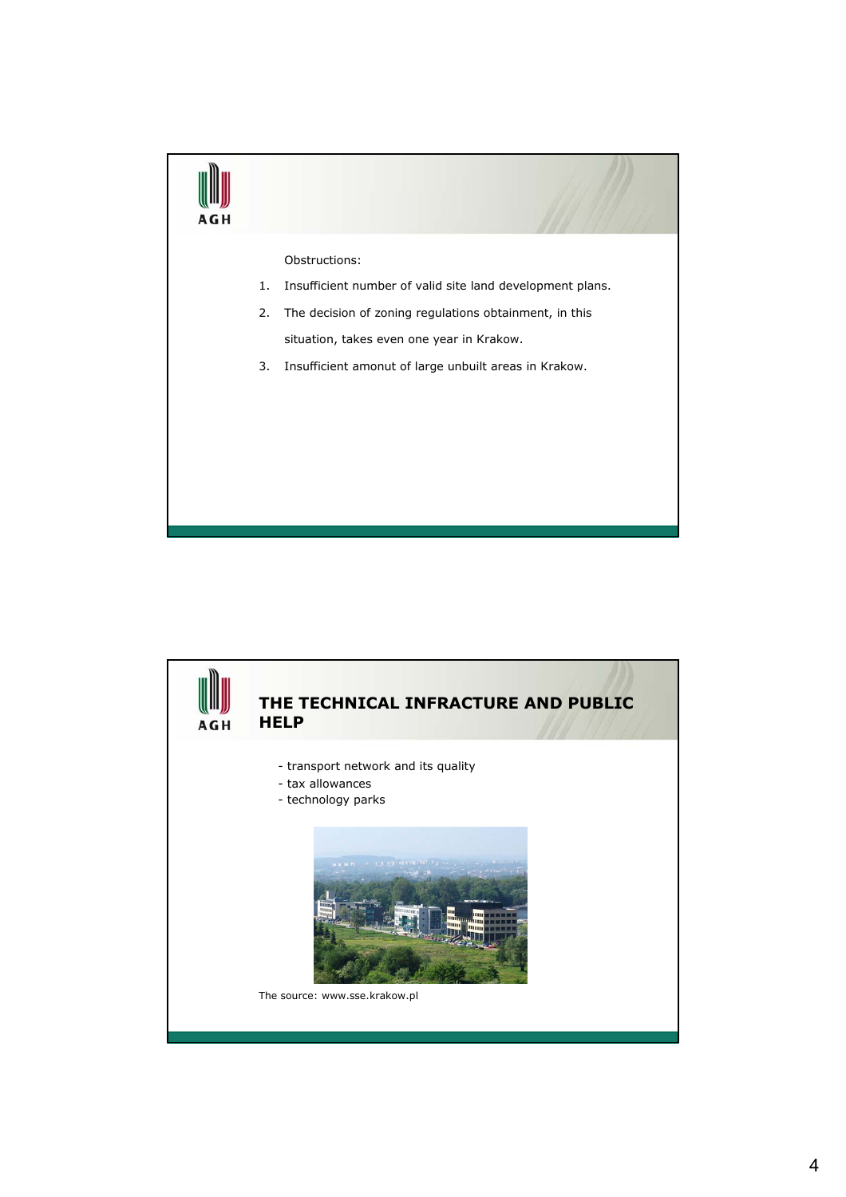

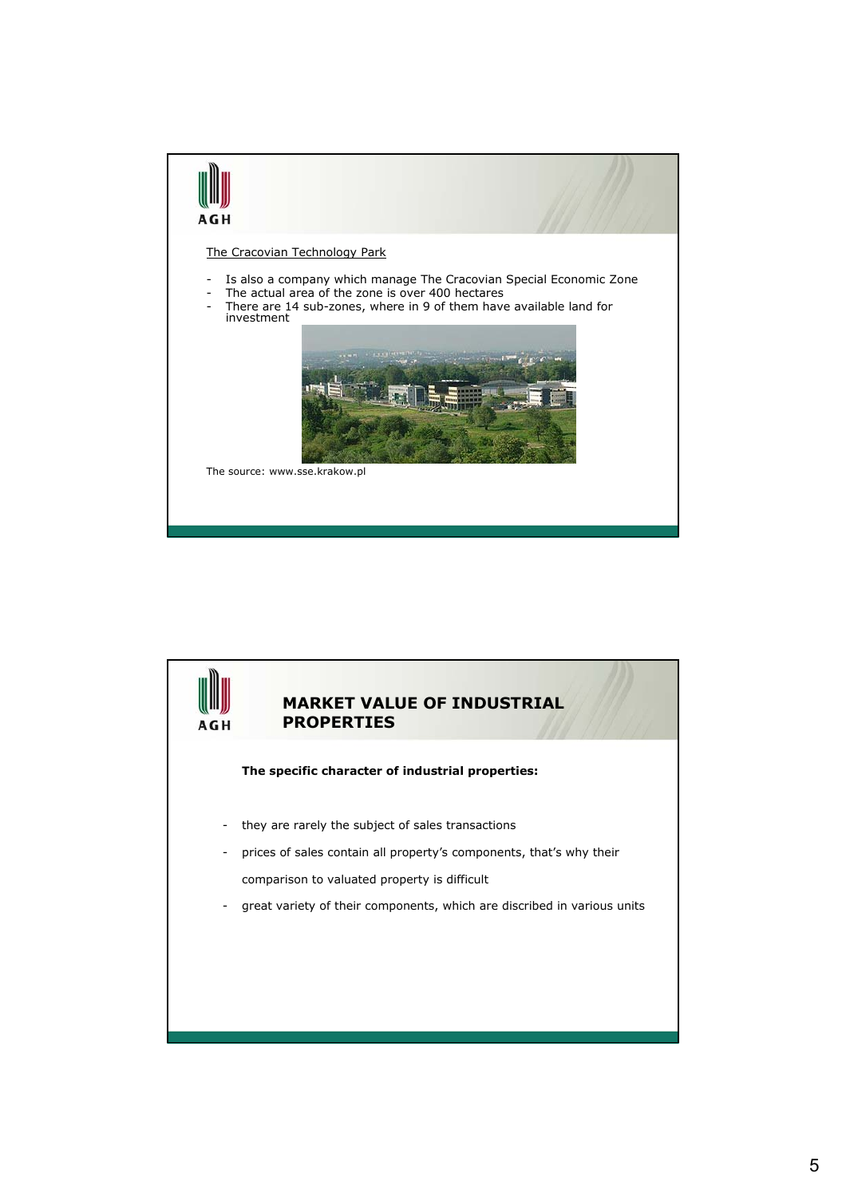

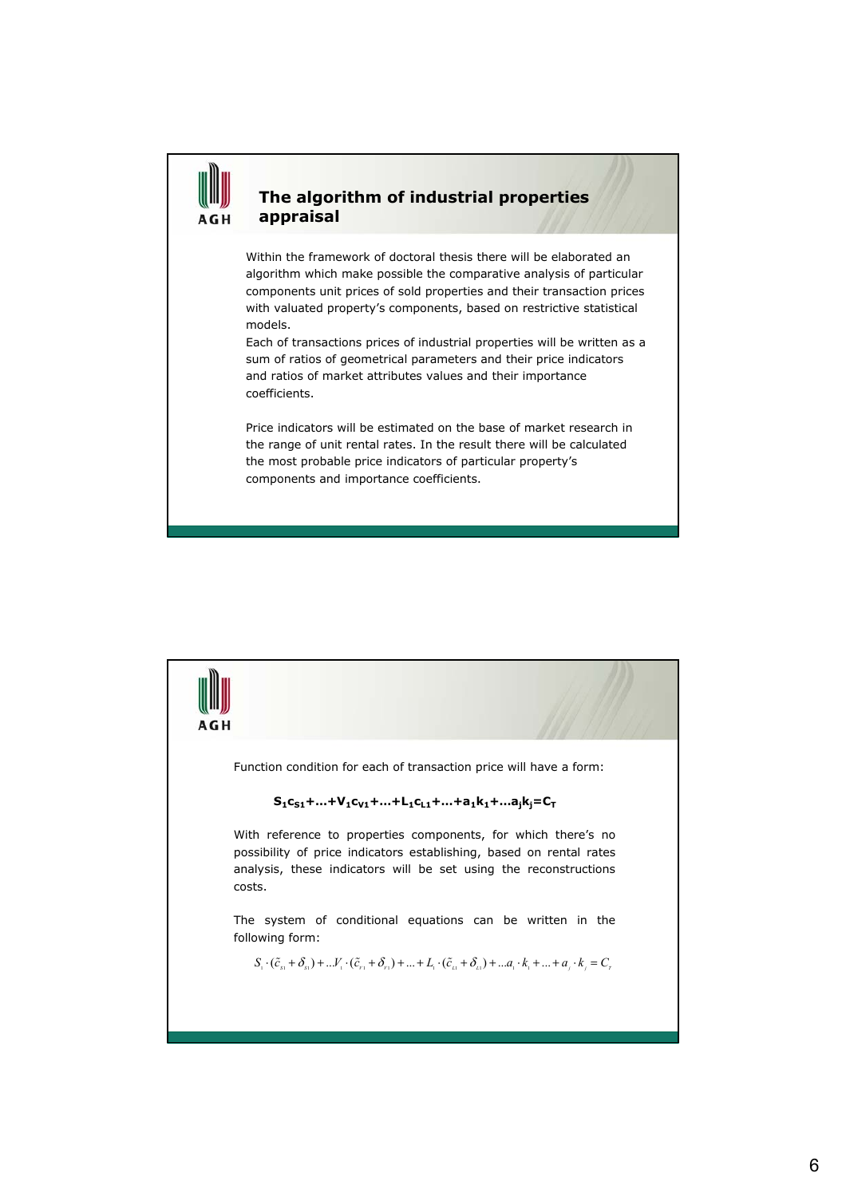#### **The algorithm of industrial properties appraisal**

Within the framework of doctoral thesis there will be elaborated an algorithm which make possible the comparative analysis of particular components unit prices of sold properties and their transaction prices with valuated property's components, based on restrictive statistical models.

Each of transactions prices of industrial properties will be written as a sum of ratios of geometrical parameters and their price indicators and ratios of market attributes values and their importance coefficients.

Price indicators will be estimated on the base of market research in the range of unit rental rates. In the result there will be calculated the most probable price indicators of particular property's components and importance coefficients.

### AGH Function condition for each of transaction price will have a form:  $S_1C_{S1}$ +…+V<sub>1</sub>C<sub>V1</sub>+…+L<sub>1</sub>C<sub>L1</sub>+…+a<sub>1</sub>k<sub>1</sub>+…a<sub>i</sub>k<sub>i</sub>=C<sub>T</sub> With reference to properties components, for which there's no possibility of price indicators establishing, based on rental rates analysis, these indicators will be set using the reconstructions costs. The system of conditional equations can be written in the following form:  $S_i \cdot (\tilde{c}_{s_1} + \delta_{s_1}) + ... V_i \cdot (\tilde{c}_{r_1} + \delta_{r_1}) + ... + L_i \cdot (\tilde{c}_{i_1} + \delta_{i_1}) + ... + a_i \cdot k_i + ... + a_i \cdot k_i = C_r$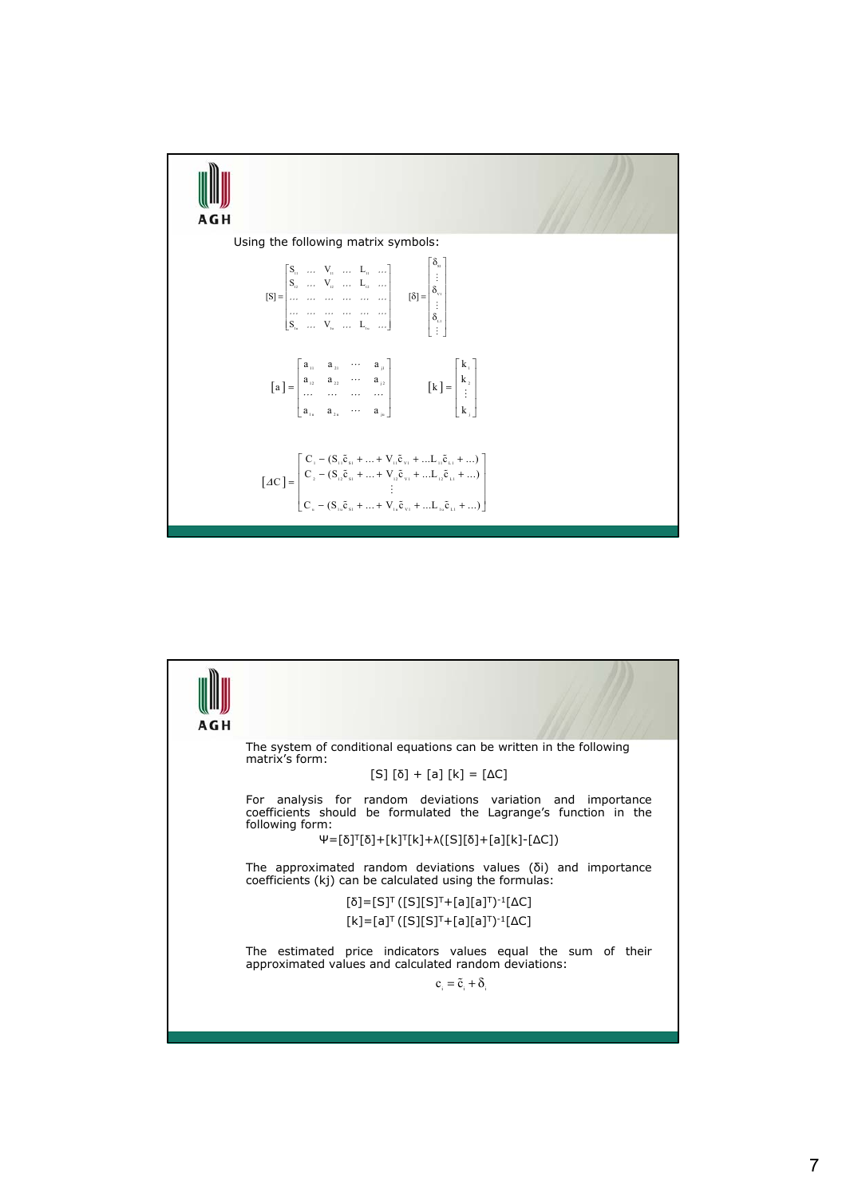